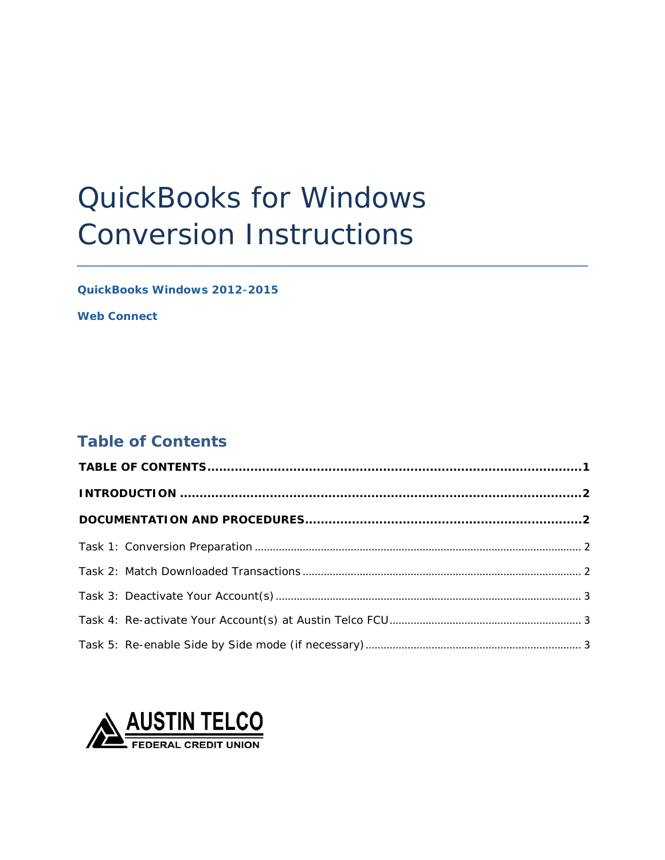# QuickBooks for Windows Conversion Instructions

*QuickBooks Windows 2012-2015*

*Web Connect*

# <span id="page-0-0"></span>**Table of Contents**

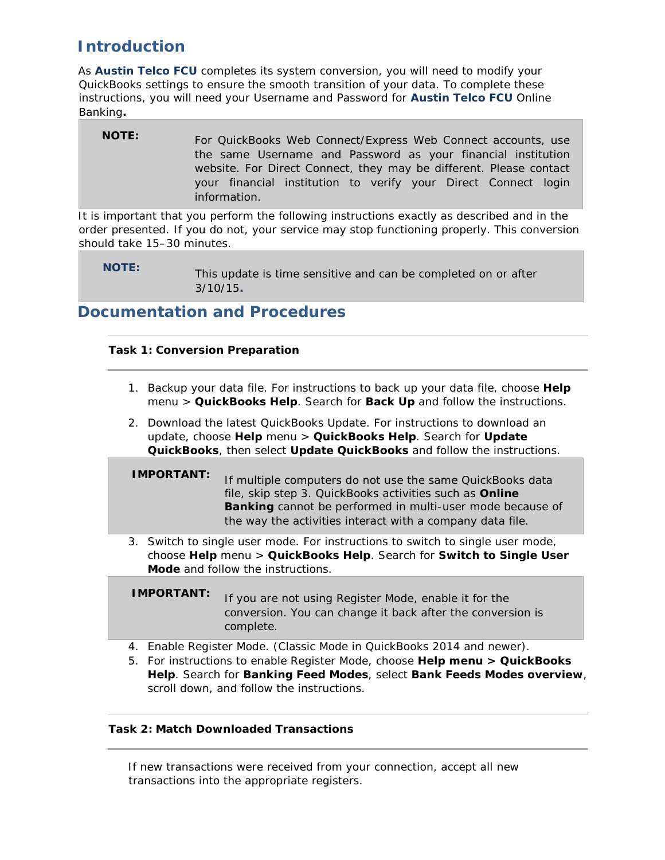# <span id="page-1-0"></span>**Introduction**

 As *Austin Telco FCU* completes its system conversion, you will need to modify your QuickBooks settings to ensure the smooth transition of your data. To complete these instructions, you will need your *Username and Password* for *Austin Telco FCU Online*  Banking.

| Banking.     |                                                                                                                                                                                                                                                                                      |
|--------------|--------------------------------------------------------------------------------------------------------------------------------------------------------------------------------------------------------------------------------------------------------------------------------------|
| <b>NOTE:</b> | For QuickBooks Web Connect/Express Web Connect accounts, use<br>the same Username and Password as your financial institution<br>website. For Direct Connect, they may be different. Please contact<br>your financial institution to verify your Direct Connect login<br>information. |
|              |                                                                                                                                                                                                                                                                                      |

 It is important that you perform the following instructions exactly as described and in the order presented. If you do not, your service may stop functioning properly. This conversion should take 15–30 minutes.

 **NOTE:** This update is time sensitive and can be completed on or after 3/10/15*.* 

## <span id="page-1-2"></span><span id="page-1-1"></span>**Documentation and Procedures**

## **Task 1: Conversion Preparation**

- 1. Backup your data file. For instructions to back up your data file, choose **Help** menu > **QuickBooks Help**. Search for **Back Up** and follow the instructions.
- 2. Download the latest QuickBooks Update. For instructions to download an update, choose **Help** menu > **QuickBooks Help**. Search for **Update QuickBooks**, then select **Update QuickBooks** and follow the instructions.
- **IMPORTANT:** If multiple computers do not use the same QuickBooks data file, skip step 3. QuickBooks activities such as **Online Banking** cannot be performed in multi-user mode because of the way the activities interact with a company data file.
- 3. Switch to single user mode. For instructions to switch to single user mode, choose **Help** menu > **QuickBooks Help**. Search for **Switch to Single User Mode** and follow the instructions.

**IMPORTANT:** If you are not using Register Mode, enable it for the conversion. You can change it back after the conversion is complete.

- 4. Enable Register Mode. (Classic Mode in QuickBooks 2014 and newer).
- 5. For instructions to enable Register Mode, choose **Help menu > QuickBooks Help**. Search for **Banking Feed Modes**, select **Bank Feeds Modes overview**, scroll down, and follow the instructions.

### <span id="page-1-3"></span>**Task 2: Match Downloaded Transactions**

 If new transactions were received from your connection, accept all new transactions into the appropriate registers.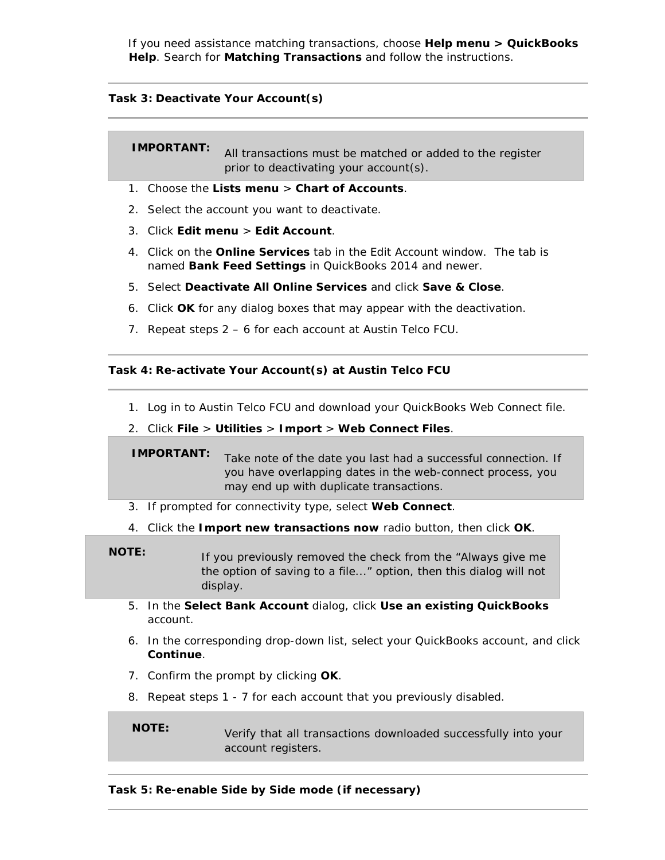If you need assistance matching transactions, choose **Help menu > QuickBooks Help**. Search for **Matching Transactions** and follow the instructions.

#### <span id="page-2-0"></span> **Task 3: Deactivate Your Account(s)**

**IMPORTANT:** All transactions must be matched or added to the register prior to deactivating your account(s).

- 1. Choose the **Lists menu** > **Chart of Accounts**.
- 2. Select the account you want to deactivate.
- 3. Click **Edit menu** > **Edit Account**.
- 4. Click on the **Online Services** tab in the Edit Account window. The tab is  named **Bank Feed Settings** in QuickBooks 2014 and newer.
- 5. Select **Deactivate All Online Services** and click **Save & Close**.
- 6. Click **OK** for any dialog boxes that may appear with the deactivation.
- 7. Repeat steps 2 6 for each account at Austin Telco FCU.

#### <span id="page-2-1"></span> **Task 4: Re-activate Your Account(s) at Austin Telco FCU**

- 1. Log in to Austin Telco FCU and download your QuickBooks Web Connect file.
- 2. Click **File** > **Utilities** > **Import** > **Web Connect Files**.

**IMPORTANT:** Take note of the date you last had a successful connection. If you have overlapping dates in the web-connect process, you may end up with duplicate transactions.

- 3. If prompted for connectivity type, select **Web Connect**.
- 4. Click the **Import new transactions now** radio button, then click **OK**.
- **NOTE:** If you previously removed the check from the "Always give me the option of saving to a file..." option, then this dialog will not display.
	- 5. In the **Select Bank Account** dialog, click **Use an existing QuickBooks**  account.
	- 6. In the corresponding drop-down list, select your QuickBooks account, and click **Continue**.
	- 7. Confirm the prompt by clicking **OK**.
	- 8. Repeat steps 1 7 for each account that you previously disabled.

 **NOTE:** Verify that all transactions downloaded successfully into your account registers.

#### <span id="page-2-2"></span> **Task 5: Re-enable Side by Side mode (if necessary)**